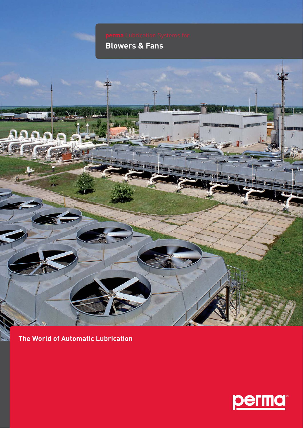# **Blowers & Fans**



**The World of Automatic Lubrication**

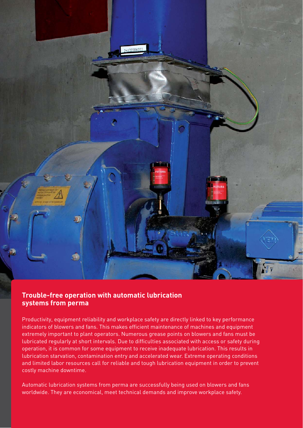

#### **Trouble-free operation with automatic lubrication systems from perma**

Productivity, equipment reliability and workplace safety are directly linked to key performance indicators of blowers and fans. This makes efficient maintenance of machines and equipment extremely important to plant operators. Numerous grease points on blowers and fans must be lubricated regularly at short intervals. Due to difficulties associated with access or safety during operation, it is common for some equipment to receive inadequate lubrication. This results in lubrication starvation, contamination entry and accelerated wear. Extreme operating conditions and limited labor resources call for reliable and tough lubrication equipment in order to prevent costly machine downtime.

Automatic lubrication systems from perma are successfully being used on blowers and fans worldwide. They are economical, meet technical demands and improve workplace safety.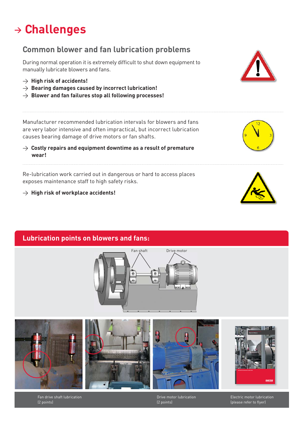### **<sup>&</sup>gt; Challenges**

#### **Common blower and fan lubrication problems**

During normal operation it is extremely difficult to shut down equipment to manually lubricate blowers and fans.

- > **High risk of accidents!**
- > **Bearing damages caused by incorrect lubrication!**
- $\rightarrow$  Blower and fan failures stop all following processes!

Manufacturer recommended lubrication intervals for blowers and fans are very labor intensive and often impractical, but incorrect lubrication causes bearing damage of drive motors or fan shafts.

> **Costly repairs and equipment downtime as a result of premature wear!**

Re-lubrication work carried out in dangerous or hard to access places exposes maintenance staff to high safety risks.

> **High risk of workplace accidents!**





#### **Lubrication points on blowers and fans:**









Drive motor lubrication (2 points)



 $\blacksquare$ Electric motor lubrication (please refer to flyer)

Stopfbuchsenschmierung Fan drive shaft lubrication (1 Schwierstelle) (1 Schwierstelle)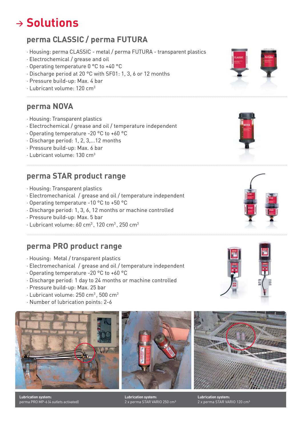## **<sup>&</sup>gt; Solutions**

#### **perma CLASSIC / perma FUTURA**

- ∧ Housing: perma CLASSIC metal / perma FUTURA transparent plastics
- ∧ Electrochemical / grease and oil
- ∧ Operating temperature 0 °C to +40 °C
- ∧ Discharge period at 20 °C with SF01: 1, 3, 6 or 12 months
- ∧ Pressure build-up: Max. 4 bar
- ∧ Lubricant volume: 120 cm3

#### **perma NOVA**

- ∧ Housing: Transparent plastics
- ∧ Electrochemical / grease and oil / temperature independent
- ∧ Operating temperature -20 °C to +60 °C
- ∧ Discharge period: 1, 2, 3,...12 months
- ∧ Pressure build-up: Max. 6 bar
- ∧ Lubricant volume: 130 cm3

#### **perma STAR product range**

- ∧ Housing: Transparent plastics
- ∧ Electromechanical / grease and oil / temperature independent
- ∧ Operating temperature -10 °C to +50 °C
- ∧ Discharge period: 1, 3, 6, 12 months or machine controlled
- ∧ Pressure build-up: Max. 5 bar
- ∧ Lubricant volume: 60 cm3 , 120 cm3 , 250 cm3

#### **perma PRO product range**

- ∧ Housing: Metal / transparent plastics
- ∧ Electromechanical / grease and oil / temperature independent
- ∧ Operating temperature -20 °C to +60 °C
- ∧ Discharge period: 1 day to 24 months or machine controlled
- ∧ Pressure build-up: Max. 25 bar
- ∧ Lubricant volume: 250 cm3 , 500 cm3
- ∧ Number of lubrication points: 2-6



**Lubrication system:**  perma PRO MP-6 (4 outlets activated)



**Lubrication system:**  2 x perma STAR VARIO 250 cm<sup>3</sup>









**Lubrication system:**  2 x perma STAR VARIO 120 cm<sup>3</sup>

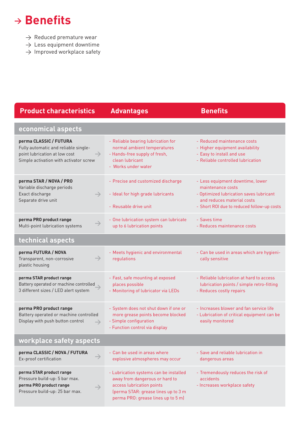## $\rightarrow$ **Benefits**

- $\rightarrow$  Reduced premature wear
- $\rightarrow$  Less equipment downtime
- $\rightarrow$  Improved workplace safety

| <b>Product characteristics</b>                                                                                                                             | <b>Advantages</b>                                                                                                                                                                  | <b>Benefits</b>                                                                                                                                                              |
|------------------------------------------------------------------------------------------------------------------------------------------------------------|------------------------------------------------------------------------------------------------------------------------------------------------------------------------------------|------------------------------------------------------------------------------------------------------------------------------------------------------------------------------|
| economical aspects                                                                                                                                         |                                                                                                                                                                                    |                                                                                                                                                                              |
| perma CLASSIC / FUTURA<br>Fully automatic and reliable single-<br>point lubrication at low cost<br>$\rightarrow$<br>Simple activation with activator screw | - Reliable bearing lubrication for<br>normal ambient temperatures<br>- Hands-free supply of fresh,<br>clean lubricant<br>- Works under water                                       | - Reduced maintenance costs<br>- Higher equipment availability<br>- Easy to install and use<br>- Reliable controlled lubrication                                             |
| perma STAR / NOVA / PRO<br>Variable discharge periods<br>Exact discharge<br>$\rightarrow$<br>Separate drive unit                                           | - Precise and customized discharge<br>- Ideal for high grade lubricants<br>- Reusable drive unit                                                                                   | - Less equipment downtime, lower<br>maintenance costs<br>- Optimized lubrication saves lubricant<br>and reduces material costs<br>- Short ROI due to reduced follow-up costs |
| perma PRO product range<br>$\rightarrow$<br>Multi-point lubrication systems                                                                                | - One lubrication system can lubricate<br>up to 6 lubrication points                                                                                                               | - Saves time<br>- Reduces maintenance costs                                                                                                                                  |
| technical aspects                                                                                                                                          |                                                                                                                                                                                    |                                                                                                                                                                              |
| perma FUTURA / NOVA<br>$\rightarrow$<br>Transparent, non-corrosive<br>plastic housing                                                                      | - Meets hygienic and environmental<br>regulations                                                                                                                                  | - Can be used in areas which are hygieni-<br>cally sensitive                                                                                                                 |
| perma STAR product range<br>Battery operated or machine controlled<br>3 different sizes / LED alert system                                                 | - Fast, safe mounting at exposed<br>places possible<br>- Monitoring of lubricator via LEDs                                                                                         | - Reliable lubrication at hard to access<br>lubrication points / simple retro-fitting<br>- Reduces costly repairs                                                            |
| perma PRO product range<br>Battery operated or machine controlled<br>Display with push button control<br>$\rightarrow$                                     | - System does not shut down if one or<br>more grease points become blocked<br>- Simple configuration<br>- Function control via display                                             | - Increases blower and fan service life<br>- Lubrication of critical equipment can be<br>easily monitored                                                                    |
| workplace safety aspects                                                                                                                                   |                                                                                                                                                                                    |                                                                                                                                                                              |
| perma CLASSIC / NOVA / FUTURA<br>$\rightarrow$<br>Ex-proof certification                                                                                   | - Can be used in areas where<br>explosive atmospheres may occur                                                                                                                    | - Save and reliable lubrication in<br>dangerous areas                                                                                                                        |
| perma STAR product range<br>Pressure build-up: 5 bar max.<br>perma PRO product range<br>$\rightarrow$<br>Pressure build-up: 25 bar max.                    | - Lubrication systems can be installed<br>away from dangerous or hard to<br>access lubrication points<br>(perma STAR: grease lines up to 3 m<br>perma PRO: grease lines up to 5 m) | - Tremendously reduces the risk of<br>accidents<br>- Increases workplace safety                                                                                              |